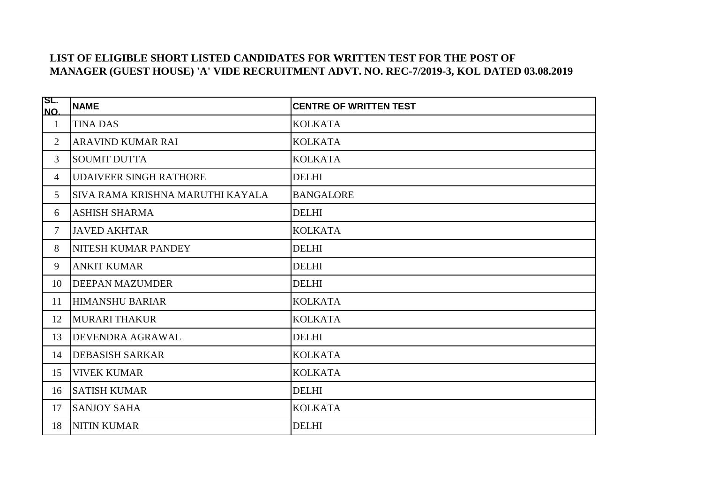## **LIST OF ELIGIBLE SHORT LISTED CANDIDATES FOR WRITTEN TEST FOR THE POST OF MANAGER (GUEST HOUSE) 'A' VIDE RECRUITMENT ADVT. NO. REC-7/2019-3, KOL DATED 03.08.2019**

| SL.<br>NO.     | <b>NAME</b>                      | <b>CENTRE OF WRITTEN TEST</b> |
|----------------|----------------------------------|-------------------------------|
| 1              | <b>TINA DAS</b>                  | <b>KOLKATA</b>                |
| $\overline{2}$ | <b>ARAVIND KUMAR RAI</b>         | <b>KOLKATA</b>                |
| $\mathfrak{Z}$ | <b>SOUMIT DUTTA</b>              | <b>KOLKATA</b>                |
| $\overline{4}$ | <b>UDAIVEER SINGH RATHORE</b>    | <b>DELHI</b>                  |
| $5^{\circ}$    | SIVA RAMA KRISHNA MARUTHI KAYALA | <b>BANGALORE</b>              |
| 6              | <b>ASHISH SHARMA</b>             | <b>DELHI</b>                  |
| $\tau$         | <b>JAVED AKHTAR</b>              | <b>KOLKATA</b>                |
| 8              | <b>NITESH KUMAR PANDEY</b>       | <b>DELHI</b>                  |
| 9              | <b>ANKIT KUMAR</b>               | <b>DELHI</b>                  |
| 10             | <b>DEEPAN MAZUMDER</b>           | <b>DELHI</b>                  |
| 11             | <b>HIMANSHU BARIAR</b>           | <b>KOLKATA</b>                |
| 12             | <b>MURARI THAKUR</b>             | <b>KOLKATA</b>                |
| 13             | <b>DEVENDRA AGRAWAL</b>          | <b>DELHI</b>                  |
| 14             | <b>DEBASISH SARKAR</b>           | <b>KOLKATA</b>                |
| 15             | <b>VIVEK KUMAR</b>               | <b>KOLKATA</b>                |
| 16             | <b>SATISH KUMAR</b>              | <b>DELHI</b>                  |
| 17             | <b>SANJOY SAHA</b>               | <b>KOLKATA</b>                |
| 18             | <b>NITIN KUMAR</b>               | <b>DELHI</b>                  |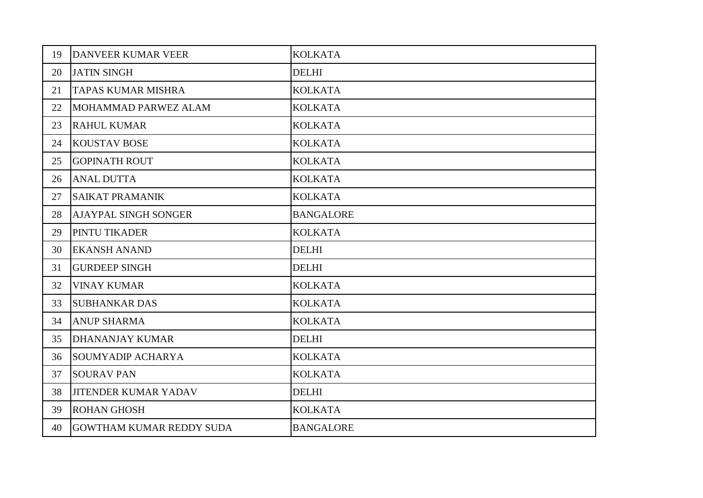| 19 | <b>DANVEER KUMAR VEER</b>       | <b>KOLKATA</b>   |
|----|---------------------------------|------------------|
| 20 | <b>JATIN SINGH</b>              | <b>DELHI</b>     |
| 21 | <b>TAPAS KUMAR MISHRA</b>       | <b>KOLKATA</b>   |
| 22 | MOHAMMAD PARWEZ ALAM            | <b>KOLKATA</b>   |
| 23 | <b>RAHUL KUMAR</b>              | <b>KOLKATA</b>   |
| 24 | <b>KOUSTAV BOSE</b>             | <b>KOLKATA</b>   |
| 25 | <b>GOPINATH ROUT</b>            | <b>KOLKATA</b>   |
| 26 | <b>ANAL DUTTA</b>               | <b>KOLKATA</b>   |
| 27 | <b>SAIKAT PRAMANIK</b>          | <b>KOLKATA</b>   |
| 28 | <b>AJAYPAL SINGH SONGER</b>     | <b>BANGALORE</b> |
| 29 | PINTU TIKADER                   | <b>KOLKATA</b>   |
| 30 | <b>EKANSH ANAND</b>             | <b>DELHI</b>     |
| 31 | <b>GURDEEP SINGH</b>            | <b>DELHI</b>     |
| 32 | <b>VINAY KUMAR</b>              | <b>KOLKATA</b>   |
| 33 | <b>SUBHANKAR DAS</b>            | <b>KOLKATA</b>   |
| 34 | <b>ANUP SHARMA</b>              | <b>KOLKATA</b>   |
| 35 | <b>DHANANJAY KUMAR</b>          | <b>DELHI</b>     |
| 36 | <b>SOUMYADIP ACHARYA</b>        | <b>KOLKATA</b>   |
| 37 | <b>SOURAV PAN</b>               | <b>KOLKATA</b>   |
| 38 | <b>JITENDER KUMAR YADAV</b>     | <b>DELHI</b>     |
| 39 | <b>ROHAN GHOSH</b>              | <b>KOLKATA</b>   |
| 40 | <b>GOWTHAM KUMAR REDDY SUDA</b> | <b>BANGALORE</b> |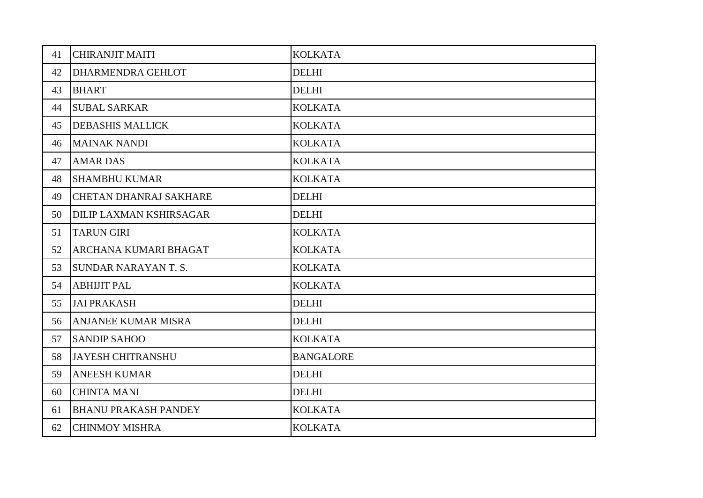| 41 | <b>CHIRANJIT MAITI</b>         | <b>KOLKATA</b>   |
|----|--------------------------------|------------------|
| 42 | <b>DHARMENDRA GEHLOT</b>       | <b>DELHI</b>     |
| 43 | <b>BHART</b>                   | <b>DELHI</b>     |
| 44 | <b>SUBAL SARKAR</b>            | <b>KOLKATA</b>   |
| 45 | <b>DEBASHIS MALLICK</b>        | <b>KOLKATA</b>   |
| 46 | <b>MAINAK NANDI</b>            | <b>KOLKATA</b>   |
| 47 | <b>AMAR DAS</b>                | <b>KOLKATA</b>   |
| 48 | <b>SHAMBHU KUMAR</b>           | <b>KOLKATA</b>   |
| 49 | <b>CHETAN DHANRAJ SAKHARE</b>  | <b>DELHI</b>     |
| 50 | <b>DILIP LAXMAN KSHIRSAGAR</b> | <b>DELHI</b>     |
| 51 | <b>TARUN GIRI</b>              | <b>KOLKATA</b>   |
| 52 | <b>ARCHANA KUMARI BHAGAT</b>   | <b>KOLKATA</b>   |
| 53 | <b>SUNDAR NARAYAN T.S.</b>     | <b>KOLKATA</b>   |
| 54 | <b>ABHIJIT PAL</b>             | <b>KOLKATA</b>   |
| 55 | <b>JAI PRAKASH</b>             | <b>DELHI</b>     |
| 56 | <b>ANJANEE KUMAR MISRA</b>     | <b>DELHI</b>     |
| 57 | <b>SANDIP SAHOO</b>            | <b>KOLKATA</b>   |
| 58 | <b>JAYESH CHITRANSHU</b>       | <b>BANGALORE</b> |
| 59 | <b>ANEESH KUMAR</b>            | <b>DELHI</b>     |
| 60 | <b>CHINTA MANI</b>             | <b>DELHI</b>     |
| 61 | <b>BHANU PRAKASH PANDEY</b>    | <b>KOLKATA</b>   |
| 62 | <b>CHINMOY MISHRA</b>          | <b>KOLKATA</b>   |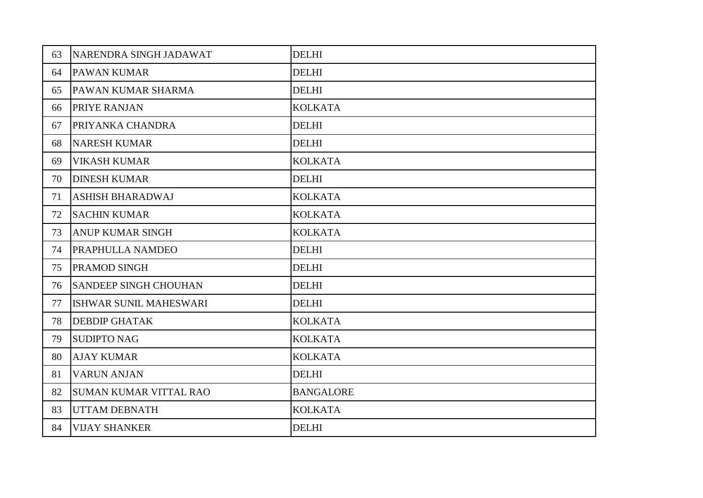| 63 | NARENDRA SINGH JADAWAT        | <b>DELHI</b>     |
|----|-------------------------------|------------------|
| 64 | <b>PAWAN KUMAR</b>            | <b>DELHI</b>     |
| 65 | PAWAN KUMAR SHARMA            | <b>DELHI</b>     |
| 66 | <b>PRIYE RANJAN</b>           | <b>KOLKATA</b>   |
| 67 | PRIYANKA CHANDRA              | <b>DELHI</b>     |
| 68 | <b>NARESH KUMAR</b>           | <b>DELHI</b>     |
| 69 | <b>VIKASH KUMAR</b>           | <b>KOLKATA</b>   |
| 70 | <b>DINESH KUMAR</b>           | <b>DELHI</b>     |
| 71 | <b>ASHISH BHARADWAJ</b>       | <b>KOLKATA</b>   |
| 72 | <b>SACHIN KUMAR</b>           | <b>KOLKATA</b>   |
| 73 | <b>ANUP KUMAR SINGH</b>       | <b>KOLKATA</b>   |
| 74 | <b>PRAPHULLA NAMDEO</b>       | <b>DELHI</b>     |
| 75 | <b>PRAMOD SINGH</b>           | <b>DELHI</b>     |
| 76 | <b>SANDEEP SINGH CHOUHAN</b>  | <b>DELHI</b>     |
| 77 | ISHWAR SUNIL MAHESWARI        | <b>DELHI</b>     |
| 78 | <b>DEBDIP GHATAK</b>          | <b>KOLKATA</b>   |
| 79 | <b>SUDIPTO NAG</b>            | <b>KOLKATA</b>   |
| 80 | <b>AJAY KUMAR</b>             | <b>KOLKATA</b>   |
| 81 | <b>VARUN ANJAN</b>            | <b>DELHI</b>     |
| 82 | <b>SUMAN KUMAR VITTAL RAO</b> | <b>BANGALORE</b> |
| 83 | <b>UTTAM DEBNATH</b>          | <b>KOLKATA</b>   |
| 84 | <b>VIJAY SHANKER</b>          | <b>DELHI</b>     |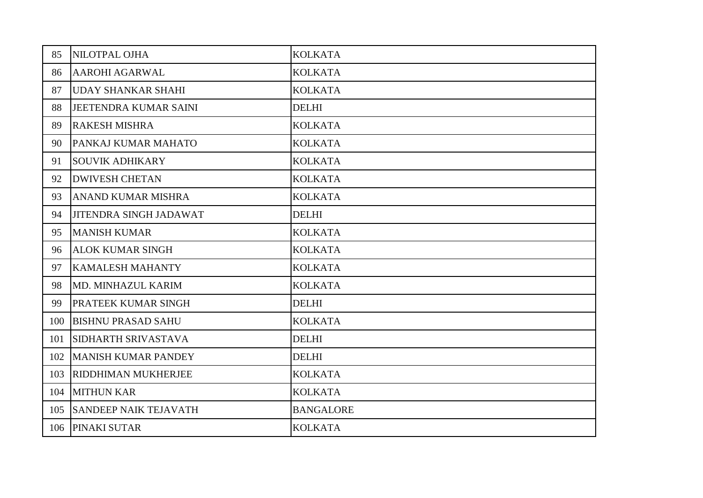| 85  | NILOTPAL OJHA                 | <b>KOLKATA</b>   |
|-----|-------------------------------|------------------|
| 86  | <b>AAROHI AGARWAL</b>         | <b>KOLKATA</b>   |
| 87  | <b>UDAY SHANKAR SHAHI</b>     | <b>KOLKATA</b>   |
| 88  | JEETENDRA KUMAR SAINI         | <b>DELHI</b>     |
| 89  | <b>RAKESH MISHRA</b>          | <b>KOLKATA</b>   |
| 90  | PANKAJ KUMAR MAHATO           | <b>KOLKATA</b>   |
| 91  | <b>SOUVIK ADHIKARY</b>        | <b>KOLKATA</b>   |
| 92  | <b>DWIVESH CHETAN</b>         | <b>KOLKATA</b>   |
| 93  | <b>ANAND KUMAR MISHRA</b>     | <b>KOLKATA</b>   |
| 94  | <b>JITENDRA SINGH JADAWAT</b> | <b>DELHI</b>     |
| 95  | <b>MANISH KUMAR</b>           | <b>KOLKATA</b>   |
| 96  | <b>ALOK KUMAR SINGH</b>       | <b>KOLKATA</b>   |
| 97  | <b>KAMALESH MAHANTY</b>       | <b>KOLKATA</b>   |
| 98  | MD. MINHAZUL KARIM            | <b>KOLKATA</b>   |
| 99  | <b>PRATEEK KUMAR SINGH</b>    | <b>DELHI</b>     |
| 100 | <b>BISHNU PRASAD SAHU</b>     | <b>KOLKATA</b>   |
| 101 | <b>SIDHARTH SRIVASTAVA</b>    | <b>DELHI</b>     |
| 102 | <b>MANISH KUMAR PANDEY</b>    | <b>DELHI</b>     |
| 103 | <b>RIDDHIMAN MUKHERJEE</b>    | <b>KOLKATA</b>   |
| 104 | <b>MITHUN KAR</b>             | <b>KOLKATA</b>   |
| 105 | <b>SANDEEP NAIK TEJAVATH</b>  | <b>BANGALORE</b> |
| 106 | PINAKI SUTAR                  | <b>KOLKATA</b>   |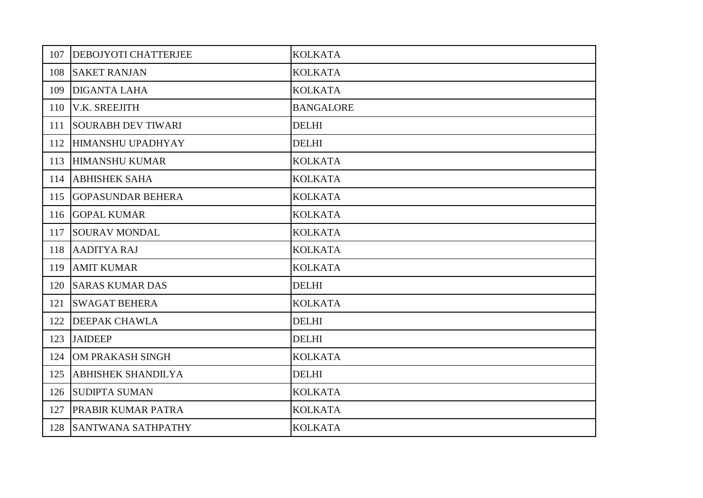| 107 | <b>DEBOJYOTI CHATTERJEE</b> | <b>KOLKATA</b>   |
|-----|-----------------------------|------------------|
| 108 | <b>SAKET RANJAN</b>         | <b>KOLKATA</b>   |
| 109 | <b>DIGANTA LAHA</b>         | <b>KOLKATA</b>   |
|     | 110 V.K. SREEJITH           | <b>BANGALORE</b> |
| 111 | <b>SOURABH DEV TIWARI</b>   | <b>DELHI</b>     |
| 112 | HIMANSHU UPADHYAY           | <b>DELHI</b>     |
| 113 | <b>HIMANSHU KUMAR</b>       | <b>KOLKATA</b>   |
|     | 114 ABHISHEK SAHA           | <b>KOLKATA</b>   |
| 115 | <b>GOPASUNDAR BEHERA</b>    | <b>KOLKATA</b>   |
|     | 116 GOPAL KUMAR             | <b>KOLKATA</b>   |
| 117 | <b>SOURAV MONDAL</b>        | <b>KOLKATA</b>   |
| 118 | AADITYA RAJ                 | <b>KOLKATA</b>   |
| 119 | <b>AMIT KUMAR</b>           | <b>KOLKATA</b>   |
| 120 | <b>SARAS KUMAR DAS</b>      | <b>DELHI</b>     |
| 121 | <b>SWAGAT BEHERA</b>        | <b>KOLKATA</b>   |
| 122 | <b>DEEPAK CHAWLA</b>        | <b>DELHI</b>     |
| 123 | <b>JAIDEEP</b>              | <b>DELHI</b>     |
| 124 | OM PRAKASH SINGH            | <b>KOLKATA</b>   |
| 125 | <b>ABHISHEK SHANDILYA</b>   | <b>DELHI</b>     |
| 126 | <b>SUDIPTA SUMAN</b>        | <b>KOLKATA</b>   |
| 127 | <b>PRABIR KUMAR PATRA</b>   | <b>KOLKATA</b>   |
| 128 | <b>SANTWANA SATHPATHY</b>   | <b>KOLKATA</b>   |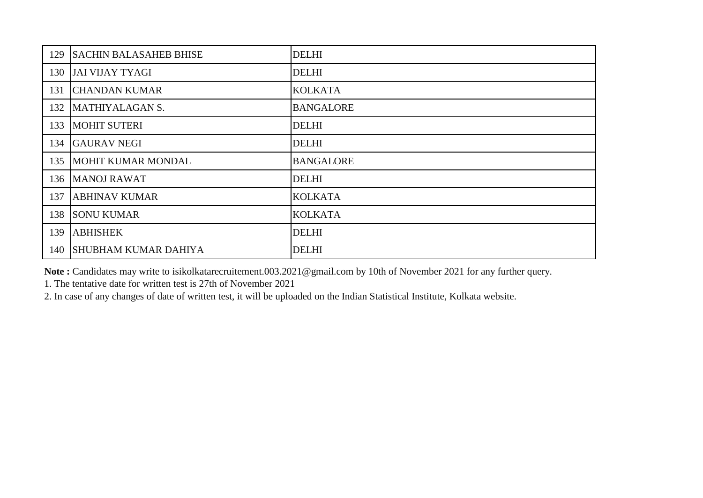| 129 | <b>SACHIN BALASAHEB BHISE</b> | <b>DELHI</b>     |
|-----|-------------------------------|------------------|
| 130 | <b>JAI VIJAY TYAGI</b>        | <b>DELHI</b>     |
| 131 | <b>CHANDAN KUMAR</b>          | <b>KOLKATA</b>   |
| 132 | MATHIYALAGAN S.               | <b>BANGALORE</b> |
| 133 | <b>MOHIT SUTERI</b>           | <b>DELHI</b>     |
| 134 | <b>GAURAV NEGI</b>            | <b>DELHI</b>     |
| 135 | MOHIT KUMAR MONDAL            | <b>BANGALORE</b> |
| 136 | <b>MANOJ RAWAT</b>            | <b>DELHI</b>     |
| 137 | <b>ABHINAV KUMAR</b>          | <b>KOLKATA</b>   |
| 138 | <b>SONU KUMAR</b>             | <b>KOLKATA</b>   |
| 139 | <b>ABHISHEK</b>               | <b>DELHI</b>     |
| 140 | <b>SHUBHAM KUMAR DAHIYA</b>   | <b>DELHI</b>     |

**Note :** Candidates may write to isikolkatarecruitement.003.2021@gmail.com by 10th of November 2021 for any further query.

1. The tentative date for written test is 27th of November 2021

2. In case of any changes of date of written test, it will be uploaded on the Indian Statistical Institute, Kolkata website.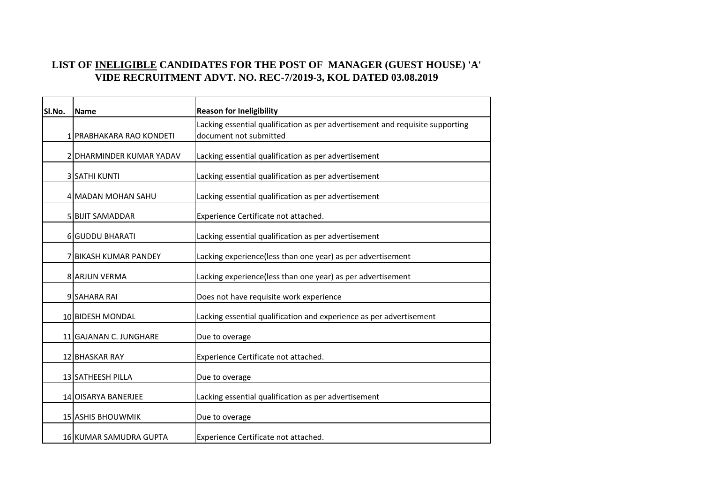## **LIST OF INELIGIBLE CANDIDATES FOR THE POST OF MANAGER (GUEST HOUSE) 'A' VIDE RECRUITMENT ADVT. NO. REC-7/2019-3, KOL DATED 03.08.2019**

| SI.No. | <b>Name</b>              | <b>Reason for Ineligibility</b>                                               |  |  |
|--------|--------------------------|-------------------------------------------------------------------------------|--|--|
|        |                          | Lacking essential qualification as per advertisement and requisite supporting |  |  |
|        | 1 PRABHAKARA RAO KONDETI | document not submitted                                                        |  |  |
|        | 2 DHARMINDER KUMAR YADAV | Lacking essential qualification as per advertisement                          |  |  |
|        | 3 SATHI KUNTI            | Lacking essential qualification as per advertisement                          |  |  |
|        | 4 MADAN MOHAN SAHU       | Lacking essential qualification as per advertisement                          |  |  |
|        | 5 BIJIT SAMADDAR         | Experience Certificate not attached.                                          |  |  |
|        | 6 GUDDU BHARATI          | Lacking essential qualification as per advertisement                          |  |  |
|        | 7 BIKASH KUMAR PANDEY    | Lacking experience(less than one year) as per advertisement                   |  |  |
|        | 8 ARJUN VERMA            | Lacking experience(less than one year) as per advertisement                   |  |  |
|        | 9 SAHARA RAI             | Does not have requisite work experience                                       |  |  |
|        | 10 BIDESH MONDAL         | Lacking essential qualification and experience as per advertisement           |  |  |
|        | 11 GAJANAN C. JUNGHARE   | Due to overage                                                                |  |  |
|        | 12 BHASKAR RAY           | Experience Certificate not attached.                                          |  |  |
|        | 13 SATHEESH PILLA        | Due to overage                                                                |  |  |
|        | 14 OISARYA BANERJEE      | Lacking essential qualification as per advertisement                          |  |  |
|        | <b>15 ASHIS BHOUWMIK</b> | Due to overage                                                                |  |  |
|        | 16 KUMAR SAMUDRA GUPTA   | Experience Certificate not attached.                                          |  |  |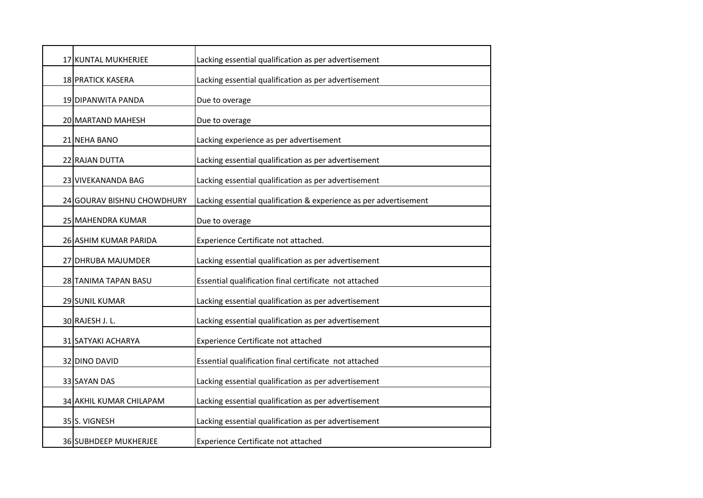| 17 KUNTAL MUKHERJEE        | Lacking essential qualification as per advertisement              |  |
|----------------------------|-------------------------------------------------------------------|--|
| <b>18 PRATICK KASERA</b>   | Lacking essential qualification as per advertisement              |  |
| 19 DIPANWITA PANDA         | Due to overage                                                    |  |
| 20 MARTAND MAHESH          | Due to overage                                                    |  |
| 21 NEHA BANO               | Lacking experience as per advertisement                           |  |
| 22 RAJAN DUTTA             | Lacking essential qualification as per advertisement              |  |
| 23 VIVEKANANDA BAG         | Lacking essential qualification as per advertisement              |  |
|                            |                                                                   |  |
| 24 GOURAV BISHNU CHOWDHURY | Lacking essential qualification & experience as per advertisement |  |
| 25 MAHENDRA KUMAR          | Due to overage                                                    |  |
| 26 ASHIM KUMAR PARIDA      | Experience Certificate not attached.                              |  |
| 27 DHRUBA MAJUMDER         | Lacking essential qualification as per advertisement              |  |
| 28 TANIMA TAPAN BASU       | Essential qualification final certificate not attached            |  |
| 29 SUNIL KUMAR             | Lacking essential qualification as per advertisement              |  |
| 30 RAJESH J. L.            | Lacking essential qualification as per advertisement              |  |
| 31 SATYAKI ACHARYA         | Experience Certificate not attached                               |  |
| 32 DINO DAVID              | Essential qualification final certificate not attached            |  |
| 33 SAYAN DAS               | Lacking essential qualification as per advertisement              |  |
| 34 AKHIL KUMAR CHILAPAM    | Lacking essential qualification as per advertisement              |  |
| 35 S. VIGNESH              | Lacking essential qualification as per advertisement              |  |
| 36 SUBHDEEP MUKHERJEE      | Experience Certificate not attached                               |  |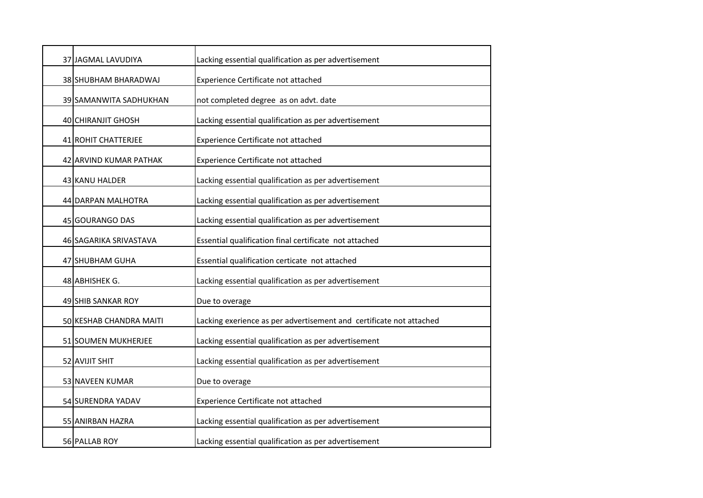| 37 JAGMAL LAVUDIYA      | Lacking essential qualification as per advertisement                |  |
|-------------------------|---------------------------------------------------------------------|--|
| 38 SHUBHAM BHARADWAJ    | Experience Certificate not attached                                 |  |
| 39 SAMANWITA SADHUKHAN  | not completed degree as on advt. date                               |  |
| 40 CHIRANJIT GHOSH      | Lacking essential qualification as per advertisement                |  |
| 41 ROHIT CHATTERJEE     | Experience Certificate not attached                                 |  |
| 42 ARVIND KUMAR PATHAK  | Experience Certificate not attached                                 |  |
| 43 KANU HALDER          | Lacking essential qualification as per advertisement                |  |
| 44 DARPAN MALHOTRA      | Lacking essential qualification as per advertisement                |  |
| 45 GOURANGO DAS         | Lacking essential qualification as per advertisement                |  |
|                         |                                                                     |  |
| 46 SAGARIKA SRIVASTAVA  | Essential qualification final certificate not attached              |  |
| 47 SHUBHAM GUHA         | Essential qualification certicate not attached                      |  |
| 48 ABHISHEK G.          | Lacking essential qualification as per advertisement                |  |
| 49 SHIB SANKAR ROY      | Due to overage                                                      |  |
| 50 KESHAB CHANDRA MAITI | Lacking exerience as per advertisement and certificate not attached |  |
| 51 SOUMEN MUKHERJEE     | Lacking essential qualification as per advertisement                |  |
| 52 AVIJIT SHIT          | Lacking essential qualification as per advertisement                |  |
| 53 NAVEEN KUMAR         | Due to overage                                                      |  |
| 54 SURENDRA YADAV       | Experience Certificate not attached                                 |  |
| 55 ANIRBAN HAZRA        | Lacking essential qualification as per advertisement                |  |
| 56 PALLAB ROY           | Lacking essential qualification as per advertisement                |  |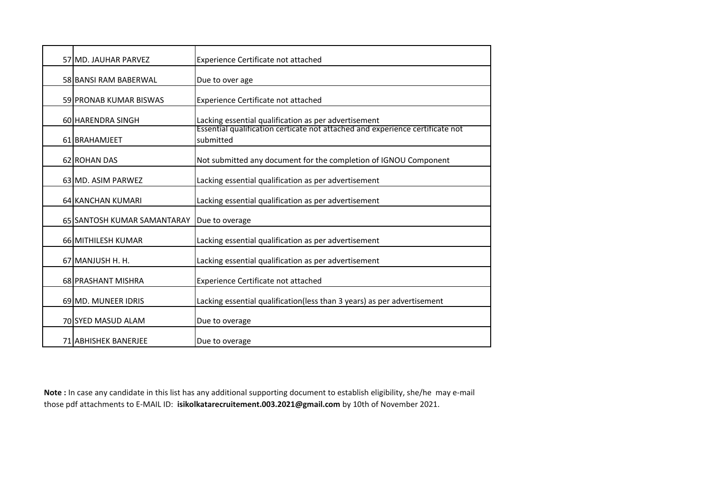| 57 MD. JAUHAR PARVEZ          | Experience Certificate not attached                                                        |  |
|-------------------------------|--------------------------------------------------------------------------------------------|--|
| 58 BANSI RAM BABERWAL         | Due to over age                                                                            |  |
| <b>59 PRONAB KUMAR BISWAS</b> | Experience Certificate not attached                                                        |  |
| 60 HARENDRA SINGH             | Lacking essential qualification as per advertisement                                       |  |
| 61 BRAHAMJEET                 | Essential qualification certicate not attached and experience certificate not<br>submitted |  |
| 62 ROHAN DAS                  | Not submitted any document for the completion of IGNOU Component                           |  |
| 63 MD. ASIM PARWEZ            | Lacking essential qualification as per advertisement                                       |  |
| 64 KANCHAN KUMARI             | Lacking essential qualification as per advertisement                                       |  |
| 65 SANTOSH KUMAR SAMANTARAY   | Due to overage                                                                             |  |
| 66 MITHILESH KUMAR            | Lacking essential qualification as per advertisement                                       |  |
| 67 MANJUSH H. H.              | Lacking essential qualification as per advertisement                                       |  |
| 68 PRASHANT MISHRA            | Experience Certificate not attached                                                        |  |
| 69 MD. MUNEER IDRIS           | Lacking essential qualification(less than 3 years) as per advertisement                    |  |
| 70 SYED MASUD ALAM            | Due to overage                                                                             |  |
| <b>71 ABHISHEK BANERJEE</b>   | Due to overage                                                                             |  |

**Note :** In case any candidate in this list has any additional supporting document to establish eligibility, she/he may e-mail those pdf attachments to E-MAIL ID: **isikolkatarecruitement.003.2021@gmail.com** by 10th of November 2021.